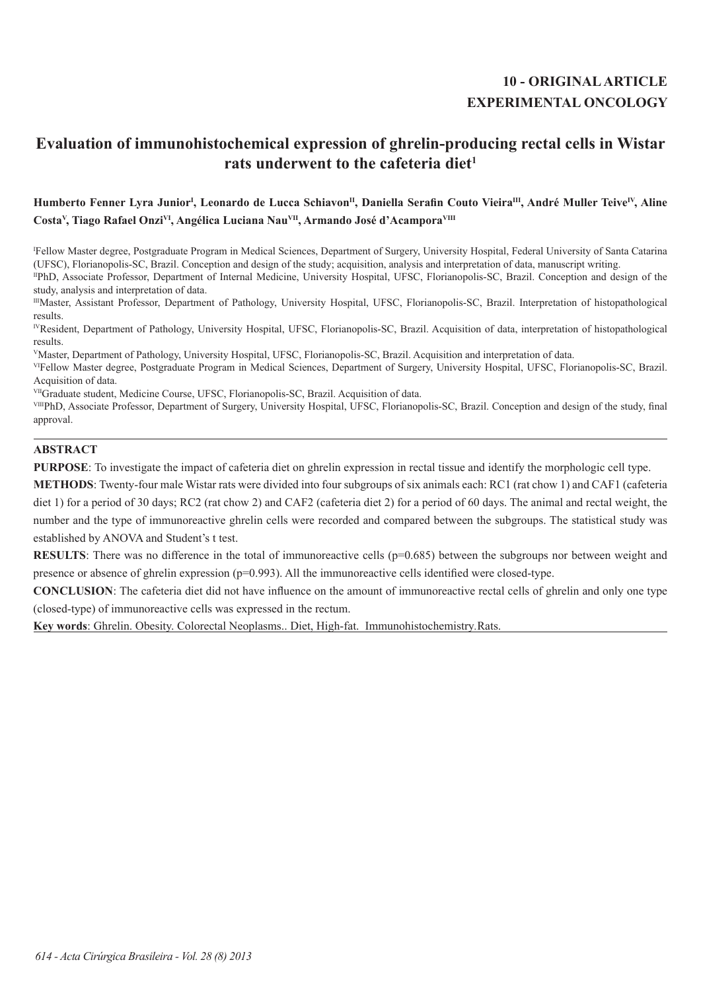# **10 - ORIGINAL ARTICLE EXPERIMENTAL ONCOLOGY**

## **Evaluation of immunohistochemical expression of ghrelin-producing rectal cells in Wistar rats underwent to the cafeteria diet1**

## **Humberto Fenner Lyra JuniorI , Leonardo de Lucca SchiavonII, Daniella Serafin Couto VieiraIII, André Muller TeiveIV, Aline Costa<sup>V</sup>, Tiago Rafael OnziVI, Angélica Luciana NauVII, Armando José d'AcamporaVIII**

I Fellow Master degree, Postgraduate Program in Medical Sciences, Department of Surgery, University Hospital, Federal University of Santa Catarina (UFSC), Florianopolis-SC, Brazil. Conception and design of the study; acquisition, analysis and interpretation of data, manuscript writing. IIPhD, Associate Professor, Department of Internal Medicine, University Hospital, UFSC, Florianopolis-SC, Brazil. Conception and design of the study, analysis and interpretation of data.

IIIMaster, Assistant Professor, Department of Pathology, University Hospital, UFSC, Florianopolis-SC, Brazil. Interpretation of histopathological results.

IVResident, Department of Pathology, University Hospital, UFSC, Florianopolis-SC, Brazil. Acquisition of data, interpretation of histopathological results.

VMaster, Department of Pathology, University Hospital, UFSC, Florianopolis-SC, Brazil. Acquisition and interpretation of data.

VIFellow Master degree, Postgraduate Program in Medical Sciences, Department of Surgery, University Hospital, UFSC, Florianopolis-SC, Brazil. Acquisition of data.

VIIGraduate student, Medicine Course, UFSC, Florianopolis-SC, Brazil. Acquisition of data.

VIIIPhD, Associate Professor, Department of Surgery, University Hospital, UFSC, Florianopolis-SC, Brazil. Conception and design of the study, final approval.

## **ABSTRACT**

**PURPOSE**: To investigate the impact of cafeteria diet on ghrelin expression in rectal tissue and identify the morphologic cell type.

**METHODS**: Twenty-four male Wistar rats were divided into four subgroups of six animals each: RC1 (rat chow 1) and CAF1 (cafeteria diet 1) for a period of 30 days; RC2 (rat chow 2) and CAF2 (cafeteria diet 2) for a period of 60 days. The animal and rectal weight, the number and the type of immunoreactive ghrelin cells were recorded and compared between the subgroups. The statistical study was established by ANOVA and Student's t test.

**RESULTS**: There was no difference in the total of immunoreactive cells (p=0.685) between the subgroups nor between weight and presence or absence of ghrelin expression (p=0.993). All the immunoreactive cells identified were closed-type.

**CONCLUSION**: The cafeteria diet did not have influence on the amount of immunoreactive rectal cells of ghrelin and only one type (closed-type) of immunoreactive cells was expressed in the rectum.

**Key words**: Ghrelin. Obesity. Colorectal Neoplasms.. Diet, High-fat. Immunohistochemistry*.*Rats.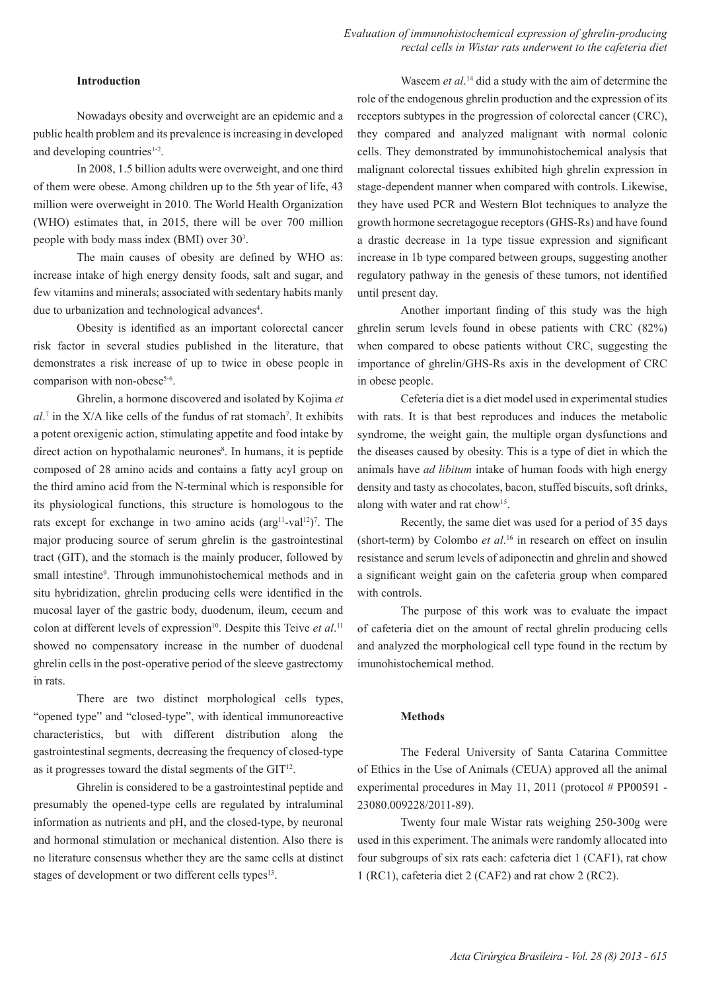## **Introduction**

Nowadays obesity and overweight are an epidemic and a public health problem and its prevalence is increasing in developed and developing countries $1-2$ .

In 2008, 1.5 billion adults were overweight, and one third of them were obese. Among children up to the 5th year of life, 43 million were overweight in 2010. The World Health Organization (WHO) estimates that, in 2015, there will be over 700 million people with body mass index (BMI) over  $30<sup>3</sup>$ .

The main causes of obesity are defined by WHO as: increase intake of high energy density foods, salt and sugar, and few vitamins and minerals; associated with sedentary habits manly due to urbanization and technological advances<sup>4</sup>.

Obesity is identified as an important colorectal cancer risk factor in several studies published in the literature, that demonstrates a risk increase of up to twice in obese people in comparison with non-obese<sup>5-6</sup>.

Ghrelin, a hormone discovered and isolated by Kojima *et*   $al$ <sup>7</sup> in the X/A like cells of the fundus of rat stomach<sup>7</sup>. It exhibits a potent orexigenic action, stimulating appetite and food intake by direct action on hypothalamic neurones<sup>8</sup>. In humans, it is peptide composed of 28 amino acids and contains a fatty acyl group on the third amino acid from the N-terminal which is responsible for its physiological functions, this structure is homologous to the rats except for exchange in two amino acids  $(\text{arg}^{11}\text{-val}^{12})^7$ . The major producing source of serum ghrelin is the gastrointestinal tract (GIT), and the stomach is the mainly producer, followed by small intestine<sup>9</sup>. Through immunohistochemical methods and in situ hybridization, ghrelin producing cells were identified in the mucosal layer of the gastric body, duodenum, ileum, cecum and colon at different levels of expression<sup>10</sup>. Despite this Teive et al.<sup>11</sup> showed no compensatory increase in the number of duodenal ghrelin cells in the post-operative period of the sleeve gastrectomy in rats.

There are two distinct morphological cells types, "opened type" and "closed-type", with identical immunoreactive characteristics, but with different distribution along the gastrointestinal segments, decreasing the frequency of closed-type as it progresses toward the distal segments of the  $GIT<sup>12</sup>$ .

Ghrelin is considered to be a gastrointestinal peptide and presumably the opened-type cells are regulated by intraluminal information as nutrients and pH, and the closed-type, by neuronal and hormonal stimulation or mechanical distention. Also there is no literature consensus whether they are the same cells at distinct stages of development or two different cells types<sup>13</sup>.

Waseem *et al*. <sup>14</sup> did a study with the aim of determine the role of the endogenous ghrelin production and the expression of its receptors subtypes in the progression of colorectal cancer (CRC), they compared and analyzed malignant with normal colonic cells. They demonstrated by immunohistochemical analysis that malignant colorectal tissues exhibited high ghrelin expression in stage-dependent manner when compared with controls. Likewise, they have used PCR and Western Blot techniques to analyze the growth hormone secretagogue receptors (GHS-Rs) and have found a drastic decrease in 1a type tissue expression and significant increase in 1b type compared between groups, suggesting another regulatory pathway in the genesis of these tumors, not identified until present day.

Another important finding of this study was the high ghrelin serum levels found in obese patients with CRC (82%) when compared to obese patients without CRC, suggesting the importance of ghrelin/GHS-Rs axis in the development of CRC in obese people.

Cefeteria diet is a diet model used in experimental studies with rats. It is that best reproduces and induces the metabolic syndrome, the weight gain, the multiple organ dysfunctions and the diseases caused by obesity. This is a type of diet in which the animals have *ad libitum* intake of human foods with high energy density and tasty as chocolates, bacon, stuffed biscuits, soft drinks, along with water and rat chow<sup>15</sup>.

Recently, the same diet was used for a period of 35 days (short-term) by Colombo *et al*. 16 in research on effect on insulin resistance and serum levels of adiponectin and ghrelin and showed a significant weight gain on the cafeteria group when compared with controls.

The purpose of this work was to evaluate the impact of cafeteria diet on the amount of rectal ghrelin producing cells and analyzed the morphological cell type found in the rectum by imunohistochemical method.

## **Methods**

The Federal University of Santa Catarina Committee of Ethics in the Use of Animals (CEUA) approved all the animal experimental procedures in May 11, 2011 (protocol # PP00591 -23080.009228/2011-89).

Twenty four male Wistar rats weighing 250-300g were used in this experiment. The animals were randomly allocated into four subgroups of six rats each: cafeteria diet 1 (CAF1), rat chow 1 (RC1), cafeteria diet 2 (CAF2) and rat chow 2 (RC2).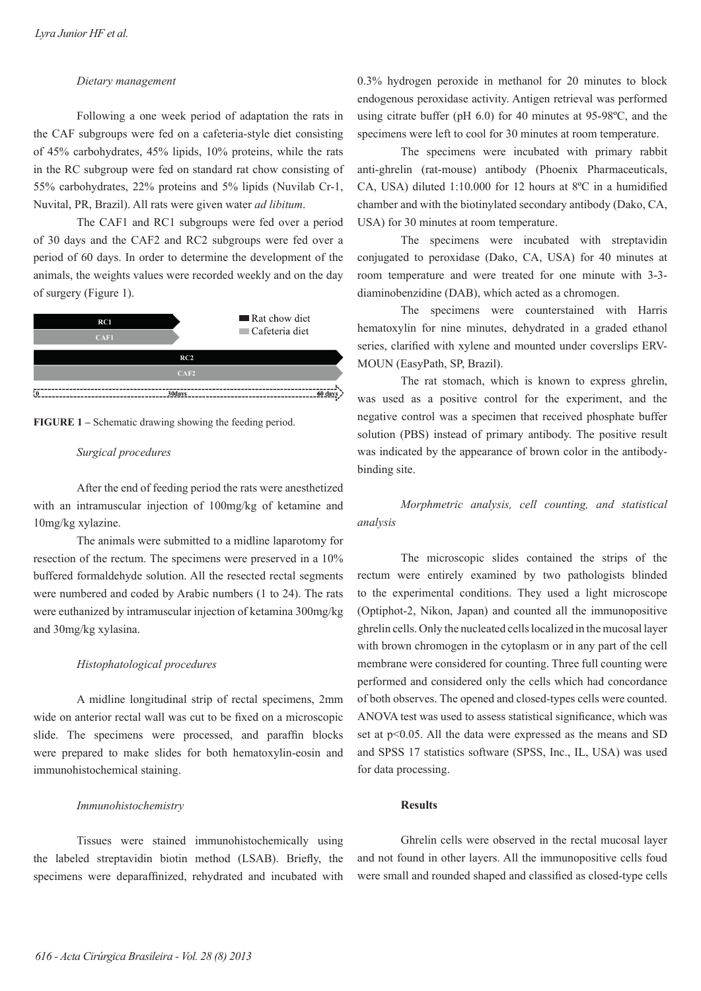## *Dietary management*

Following a one week period of adaptation the rats in the CAF subgroups were fed on a cafeteria-style diet consisting of 45% carbohydrates, 45% lipids, 10% proteins, while the rats in the RC subgroup were fed on standard rat chow consisting of 55% carbohydrates, 22% proteins and 5% lipids (Nuvilab Cr-1, Nuvital, PR, Brazil). All rats were given water *ad libitum*.

The CAF1 and RC1 subgroups were fed over a period of 30 days and the CAF2 and RC2 subgroups were fed over a period of 60 days. In order to determine the development of the animals, the weights values were recorded weekly and on the day of surgery (Figure 1).





### *Surgical procedures*

After the end of feeding period the rats were anesthetized with an intramuscular injection of 100mg/kg of ketamine and 10mg/kg xylazine.

The animals were submitted to a midline laparotomy for resection of the rectum. The specimens were preserved in a 10% buffered formaldehyde solution. All the resected rectal segments were numbered and coded by Arabic numbers (1 to 24). The rats were euthanized by intramuscular injection of ketamina 300mg/kg and 30mg/kg xylasina.

## *Histophatological procedures*

A midline longitudinal strip of rectal specimens, 2mm wide on anterior rectal wall was cut to be fixed on a microscopic slide. The specimens were processed, and paraffin blocks were prepared to make slides for both hematoxylin-eosin and immunohistochemical staining.

#### *Immunohistochemistry*

Tissues were stained immunohistochemically using the labeled streptavidin biotin method (LSAB). Briefly, the specimens were deparaffinized, rehydrated and incubated with 0.3% hydrogen peroxide in methanol for 20 minutes to block endogenous peroxidase activity. Antigen retrieval was performed using citrate buffer (pH 6.0) for 40 minutes at 95-98ºC, and the specimens were left to cool for 30 minutes at room temperature.

The specimens were incubated with primary rabbit anti-ghrelin (rat-mouse) antibody (Phoenix Pharmaceuticals, CA, USA) diluted  $1:10.000$  for 12 hours at  $8^{\circ}$ C in a humidified chamber and with the biotinylated secondary antibody (Dako, CA, USA) for 30 minutes at room temperature.

The specimens were incubated with streptavidin conjugated to peroxidase (Dako, CA, USA) for 40 minutes at room temperature and were treated for one minute with 3-3 diaminobenzidine (DAB), which acted as a chromogen.

The specimens were counterstained with Harris hematoxylin for nine minutes, dehydrated in a graded ethanol series, clarified with xylene and mounted under coverslips ERV-MOUN (EasyPath, SP, Brazil).

The rat stomach, which is known to express ghrelin, was used as a positive control for the experiment, and the negative control was a specimen that received phosphate buffer solution (PBS) instead of primary antibody. The positive result was indicated by the appearance of brown color in the antibodybinding site.

*Morphmetric analysis, cell counting, and statistical analysis*

The microscopic slides contained the strips of the rectum were entirely examined by two pathologists blinded to the experimental conditions. They used a light microscope (Optiphot-2, Nikon, Japan) and counted all the immunopositive ghrelin cells. Only the nucleated cells localized in the mucosal layer with brown chromogen in the cytoplasm or in any part of the cell membrane were considered for counting. Three full counting were performed and considered only the cells which had concordance of both observes. The opened and closed-types cells were counted. ANOVA test was used to assess statistical significance, which was set at p<0.05. All the data were expressed as the means and SD and SPSS 17 statistics software (SPSS, Inc., IL, USA) was used for data processing.

## **Results**

Ghrelin cells were observed in the rectal mucosal layer and not found in other layers. All the immunopositive cells foud were small and rounded shaped and classified as closed-type cells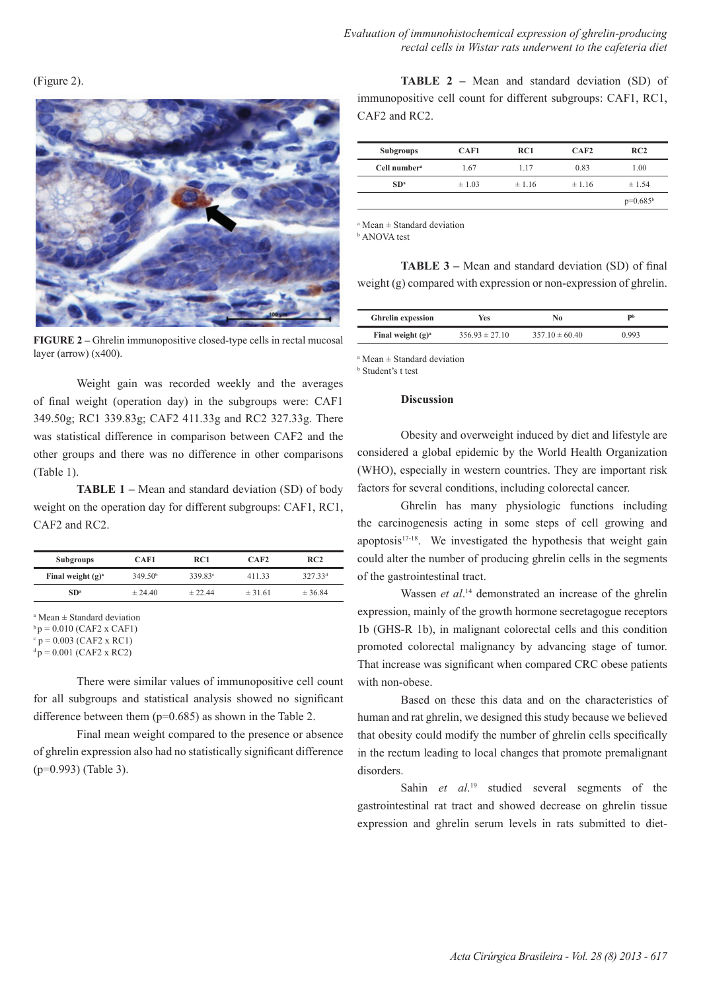(Figure 2).



**FIGURE 2 –** Ghrelin immunopositive closed-type cells in rectal mucosal layer (arrow) (x400).

Weight gain was recorded weekly and the averages of final weight (operation day) in the subgroups were: CAF1 349.50g; RC1 339.83g; CAF2 411.33g and RC2 327.33g. There was statistical difference in comparison between CAF2 and the other groups and there was no difference in other comparisons (Table 1).

**TABLE 1 –** Mean and standard deviation (SD) of body weight on the operation day for different subgroups: CAF1, RC1, CAF2 and RC2.

| <b>Subgroups</b>     | CAF1                | RC1                 | CAF <sub>2</sub> | RC2                 |
|----------------------|---------------------|---------------------|------------------|---------------------|
| Final weight $(g)^a$ | 349.50 <sup>b</sup> | 339.83 <sup>c</sup> | 411.33           | 327.33 <sup>d</sup> |
| SD <sup>a</sup>      | $\pm 24.40$         | ± 22.44             | ± 31.61          | ± 36.84             |

a Mean ± Standard deviation

```
\mu_{\rm p} = 0.001 (CAF2 x RC2)
```
There were similar values of immunopositive cell count for all subgroups and statistical analysis showed no significant difference between them  $(p=0.685)$  as shown in the Table 2.

Final mean weight compared to the presence or absence of ghrelin expression also had no statistically significant difference (p=0.993) (Table 3).

**TABLE 2 –** Mean and standard deviation (SD) of immunopositive cell count for different subgroups: CAF1, RC1, CAF2 and RC2.

| <b>Subgroups</b>         | CAF1       | RC1    | CAF <sub>2</sub> | RC2        |
|--------------------------|------------|--------|------------------|------------|
| Cell number <sup>a</sup> | 1.67       | 1.17   | 0.83             | 1.00       |
| SD <sup>a</sup>          | $\pm 1.03$ | ± 1.16 | ± 1.16           | ± 1.54     |
|                          |            |        |                  | $p=0.685b$ |

a Mean ± Standard deviation

b ANOVA test

**TABLE 3 –** Mean and standard deviation (SD) of final weight (g) compared with expression or non-expression of ghrelin.

| <b>Ghrelin expession</b> | Yes                | No                 | Db    |
|--------------------------|--------------------|--------------------|-------|
| Final weight $(g)^a$     | $356.93 \pm 27.10$ | $357.10 \pm 60.40$ | 0.993 |

a Mean ± Standard deviation

b Student's t test

#### **Discussion**

Obesity and overweight induced by diet and lifestyle are considered a global epidemic by the World Health Organization (WHO), especially in western countries. They are important risk factors for several conditions, including colorectal cancer.

Ghrelin has many physiologic functions including the carcinogenesis acting in some steps of cell growing and apoptosis $17-18$ . We investigated the hypothesis that weight gain could alter the number of producing ghrelin cells in the segments of the gastrointestinal tract.

Wassen *et al*. 14 demonstrated an increase of the ghrelin expression, mainly of the growth hormone secretagogue receptors 1b (GHS-R 1b), in malignant colorectal cells and this condition promoted colorectal malignancy by advancing stage of tumor. That increase was significant when compared CRC obese patients with non-obese.

Based on these this data and on the characteristics of human and rat ghrelin, we designed this study because we believed that obesity could modify the number of ghrelin cells specifically in the rectum leading to local changes that promote premalignant disorders.

Sahin *et al*. 19 studied several segments of the gastrointestinal rat tract and showed decrease on ghrelin tissue expression and ghrelin serum levels in rats submitted to diet-

 $b_p = 0.010$  (CAF2 x CAF1)

 $c$  p = 0.003 (CAF2 x RC1)